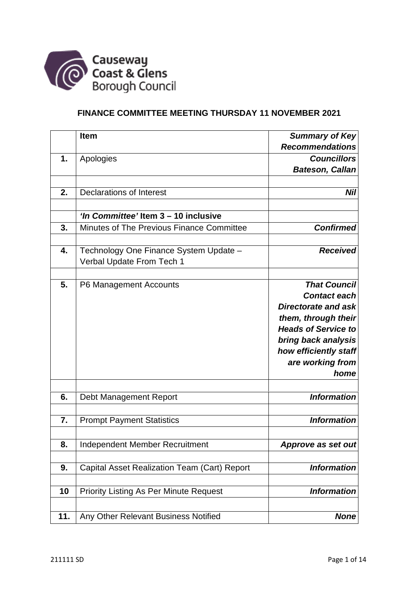

# **FINANCE COMMITTEE MEETING THURSDAY 11 NOVEMBER 2021**

|     | <b>Item</b>                                   | <b>Summary of Key</b>      |
|-----|-----------------------------------------------|----------------------------|
|     |                                               | <b>Recommendations</b>     |
| 1.  | Apologies                                     | <b>Councillors</b>         |
|     |                                               | <b>Bateson, Callan</b>     |
|     |                                               |                            |
| 2.  | <b>Declarations of Interest</b>               | <b>Nil</b>                 |
|     |                                               |                            |
|     | 'In Committee' Item 3 - 10 inclusive          |                            |
| 3.  | Minutes of The Previous Finance Committee     | <b>Confirmed</b>           |
|     |                                               |                            |
| 4.  | Technology One Finance System Update -        | <b>Received</b>            |
|     | Verbal Update From Tech 1                     |                            |
|     |                                               |                            |
| 5.  | P6 Management Accounts                        | <b>That Council</b>        |
|     |                                               | <b>Contact each</b>        |
|     |                                               | <b>Directorate and ask</b> |
|     |                                               | them, through their        |
|     |                                               | <b>Heads of Service to</b> |
|     |                                               | bring back analysis        |
|     |                                               | how efficiently staff      |
|     |                                               | are working from           |
|     |                                               | home                       |
| 6.  | Debt Management Report                        | <b>Information</b>         |
|     |                                               |                            |
| 7.  | <b>Prompt Payment Statistics</b>              | <b>Information</b>         |
|     |                                               |                            |
| 8.  | Independent Member Recruitment                | Approve as set out         |
|     |                                               |                            |
| 9.  | Capital Asset Realization Team (Cart) Report  | <b>Information</b>         |
| 10  | <b>Priority Listing As Per Minute Request</b> | <b>Information</b>         |
|     |                                               |                            |
| 11. | Any Other Relevant Business Notified          | <b>None</b>                |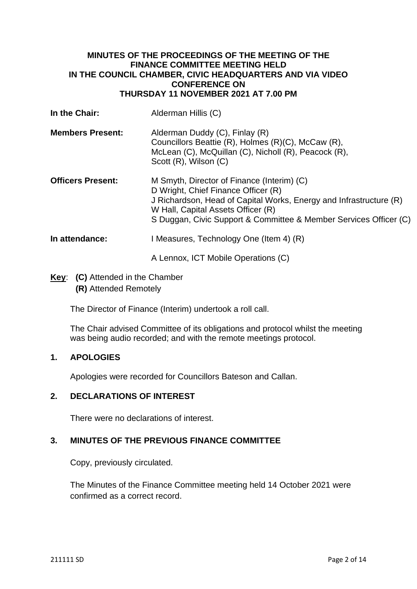## **MINUTES OF THE PROCEEDINGS OF THE MEETING OF THE FINANCE COMMITTEE MEETING HELD IN THE COUNCIL CHAMBER, CIVIC HEADQUARTERS AND VIA VIDEO CONFERENCE ON THURSDAY 11 NOVEMBER 2021 AT 7.00 PM**

| In the Chair:            | Alderman Hillis (C)                                                                                                                                                                                                                                                |
|--------------------------|--------------------------------------------------------------------------------------------------------------------------------------------------------------------------------------------------------------------------------------------------------------------|
| <b>Members Present:</b>  | Alderman Duddy (C), Finlay (R)<br>Councillors Beattie (R), Holmes (R)(C), McCaw (R),<br>McLean (C), McQuillan (C), Nicholl (R), Peacock (R),<br>Scott (R), Wilson (C)                                                                                              |
| <b>Officers Present:</b> | M Smyth, Director of Finance (Interim) (C)<br>D Wright, Chief Finance Officer (R)<br>J Richardson, Head of Capital Works, Energy and Infrastructure (R)<br>W Hall, Capital Assets Officer (R)<br>S Duggan, Civic Support & Committee & Member Services Officer (C) |
| In attendance:           | I Measures, Technology One (Item 4) (R)                                                                                                                                                                                                                            |
|                          | A Lennox, ICT Mobile Operations (C)                                                                                                                                                                                                                                |

**Key**: **(C)** Attended in the Chamber **(R)** Attended Remotely

The Director of Finance (Interim) undertook a roll call.

The Chair advised Committee of its obligations and protocol whilst the meeting was being audio recorded; and with the remote meetings protocol.

# **1. APOLOGIES**

Apologies were recorded for Councillors Bateson and Callan.

### **2. DECLARATIONS OF INTEREST**

There were no declarations of interest.

# **3. MINUTES OF THE PREVIOUS FINANCE COMMITTEE**

Copy, previously circulated.

The Minutes of the Finance Committee meeting held 14 October 2021 were confirmed as a correct record.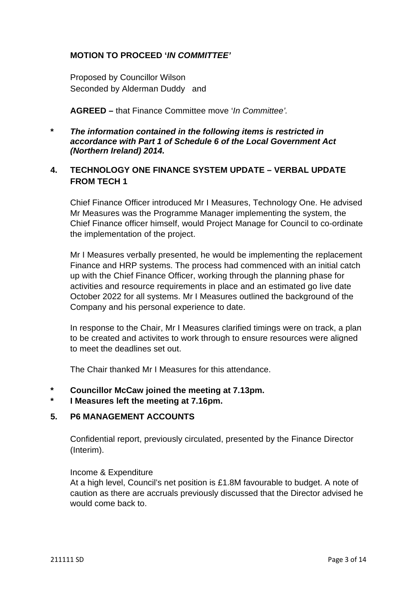## **MOTION TO PROCEED '***IN COMMITTEE'*

Proposed by Councillor Wilson Seconded by Alderman Duddy and

**AGREED –** that Finance Committee move '*In Committee'.*

**\*** *The information contained in the following items is restricted in accordance with Part 1 of Schedule 6 of the Local Government Act (Northern Ireland) 2014.* 

# **4. TECHNOLOGY ONE FINANCE SYSTEM UPDATE – VERBAL UPDATE FROM TECH 1**

Chief Finance Officer introduced Mr I Measures, Technology One. He advised Mr Measures was the Programme Manager implementing the system, the Chief Finance officer himself, would Project Manage for Council to co-ordinate the implementation of the project.

Mr I Measures verbally presented, he would be implementing the replacement Finance and HRP systems. The process had commenced with an initial catch up with the Chief Finance Officer, working through the planning phase for activities and resource requirements in place and an estimated go live date October 2022 for all systems. Mr I Measures outlined the background of the Company and his personal experience to date.

In response to the Chair, Mr I Measures clarified timings were on track, a plan to be created and activites to work through to ensure resources were aligned to meet the deadlines set out.

The Chair thanked Mr I Measures for this attendance.

- **\* Councillor McCaw joined the meeting at 7.13pm.**
- **\* I Measures left the meeting at 7.16pm.**

### **5. P6 MANAGEMENT ACCOUNTS**

Confidential report, previously circulated, presented by the Finance Director (Interim).

#### Income & Expenditure

At a high level, Council's net position is £1.8M favourable to budget. A note of caution as there are accruals previously discussed that the Director advised he would come back to.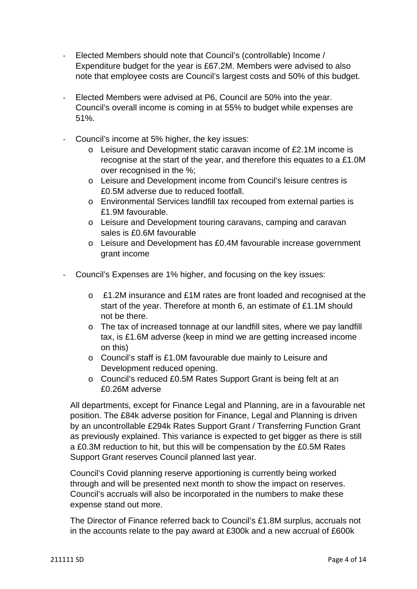- Elected Members should note that Council's (controllable) Income / Expenditure budget for the year is £67.2M. Members were advised to also note that employee costs are Council's largest costs and 50% of this budget.
- Elected Members were advised at P6, Council are 50% into the year. Council's overall income is coming in at 55% to budget while expenses are 51%.
- Council's income at 5% higher, the key issues:
	- o Leisure and Development static caravan income of £2.1M income is recognise at the start of the year, and therefore this equates to a £1.0M over recognised in the %;
	- o Leisure and Development income from Council's leisure centres is £0.5M adverse due to reduced footfall.
	- o Environmental Services landfill tax recouped from external parties is £1.9M favourable.
	- o Leisure and Development touring caravans, camping and caravan sales is £0.6M favourable
	- o Leisure and Development has £0.4M favourable increase government grant income
- Council's Expenses are 1% higher, and focusing on the key issues:
	- o £1.2M insurance and £1M rates are front loaded and recognised at the start of the year. Therefore at month 6, an estimate of £1.1M should not be there.
	- o The tax of increased tonnage at our landfill sites, where we pay landfill tax, is £1.6M adverse (keep in mind we are getting increased income on this)
	- o Council's staff is £1.0M favourable due mainly to Leisure and Development reduced opening.
	- o Council's reduced £0.5M Rates Support Grant is being felt at an £0.26M adverse

All departments, except for Finance Legal and Planning, are in a favourable net position. The £84k adverse position for Finance, Legal and Planning is driven by an uncontrollable £294k Rates Support Grant / Transferring Function Grant as previously explained. This variance is expected to get bigger as there is still a £0.3M reduction to hit, but this will be compensation by the £0.5M Rates Support Grant reserves Council planned last year.

Council's Covid planning reserve apportioning is currently being worked through and will be presented next month to show the impact on reserves. Council's accruals will also be incorporated in the numbers to make these expense stand out more.

The Director of Finance referred back to Council's £1.8M surplus, accruals not in the accounts relate to the pay award at £300k and a new accrual of £600k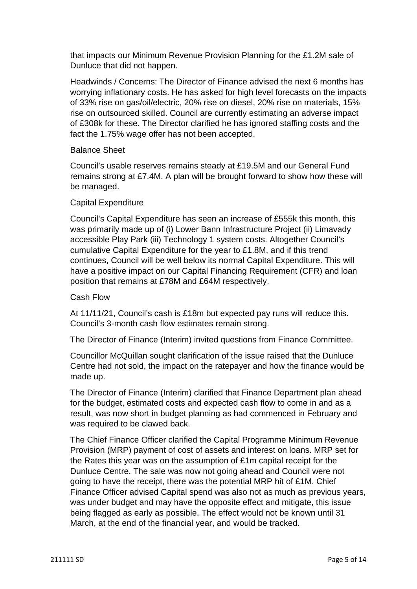that impacts our Minimum Revenue Provision Planning for the £1.2M sale of Dunluce that did not happen.

Headwinds / Concerns: The Director of Finance advised the next 6 months has worrying inflationary costs. He has asked for high level forecasts on the impacts of 33% rise on gas/oil/electric, 20% rise on diesel, 20% rise on materials, 15% rise on outsourced skilled. Council are currently estimating an adverse impact of £308k for these. The Director clarified he has ignored staffing costs and the fact the 1.75% wage offer has not been accepted.

#### Balance Sheet

Council's usable reserves remains steady at £19.5M and our General Fund remains strong at £7.4M. A plan will be brought forward to show how these will be managed.

#### Capital Expenditure

Council's Capital Expenditure has seen an increase of £555k this month, this was primarily made up of (i) Lower Bann Infrastructure Project (ii) Limavady accessible Play Park (iii) Technology 1 system costs. Altogether Council's cumulative Capital Expenditure for the year to £1.8M, and if this trend continues, Council will be well below its normal Capital Expenditure. This will have a positive impact on our Capital Financing Requirement (CFR) and loan position that remains at £78M and £64M respectively.

#### Cash Flow

At 11/11/21, Council's cash is £18m but expected pay runs will reduce this. Council's 3-month cash flow estimates remain strong.

The Director of Finance (Interim) invited questions from Finance Committee.

Councillor McQuillan sought clarification of the issue raised that the Dunluce Centre had not sold, the impact on the ratepayer and how the finance would be made up.

The Director of Finance (Interim) clarified that Finance Department plan ahead for the budget, estimated costs and expected cash flow to come in and as a result, was now short in budget planning as had commenced in February and was required to be clawed back.

The Chief Finance Officer clarified the Capital Programme Minimum Revenue Provision (MRP) payment of cost of assets and interest on loans. MRP set for the Rates this year was on the assumption of £1m capital receipt for the Dunluce Centre. The sale was now not going ahead and Council were not going to have the receipt, there was the potential MRP hit of £1M. Chief Finance Officer advised Capital spend was also not as much as previous years, was under budget and may have the opposite effect and mitigate, this issue being flagged as early as possible. The effect would not be known until 31 March, at the end of the financial year, and would be tracked.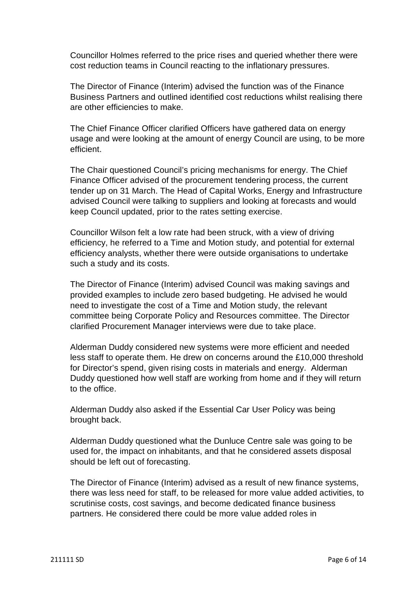Councillor Holmes referred to the price rises and queried whether there were cost reduction teams in Council reacting to the inflationary pressures.

The Director of Finance (Interim) advised the function was of the Finance Business Partners and outlined identified cost reductions whilst realising there are other efficiencies to make.

The Chief Finance Officer clarified Officers have gathered data on energy usage and were looking at the amount of energy Council are using, to be more efficient.

The Chair questioned Council's pricing mechanisms for energy. The Chief Finance Officer advised of the procurement tendering process, the current tender up on 31 March. The Head of Capital Works, Energy and Infrastructure advised Council were talking to suppliers and looking at forecasts and would keep Council updated, prior to the rates setting exercise.

Councillor Wilson felt a low rate had been struck, with a view of driving efficiency, he referred to a Time and Motion study, and potential for external efficiency analysts, whether there were outside organisations to undertake such a study and its costs.

The Director of Finance (Interim) advised Council was making savings and provided examples to include zero based budgeting. He advised he would need to investigate the cost of a Time and Motion study, the relevant committee being Corporate Policy and Resources committee. The Director clarified Procurement Manager interviews were due to take place.

Alderman Duddy considered new systems were more efficient and needed less staff to operate them. He drew on concerns around the £10,000 threshold for Director's spend, given rising costs in materials and energy. Alderman Duddy questioned how well staff are working from home and if they will return to the office.

Alderman Duddy also asked if the Essential Car User Policy was being brought back.

Alderman Duddy questioned what the Dunluce Centre sale was going to be used for, the impact on inhabitants, and that he considered assets disposal should be left out of forecasting.

The Director of Finance (Interim) advised as a result of new finance systems, there was less need for staff, to be released for more value added activities, to scrutinise costs, cost savings, and become dedicated finance business partners. He considered there could be more value added roles in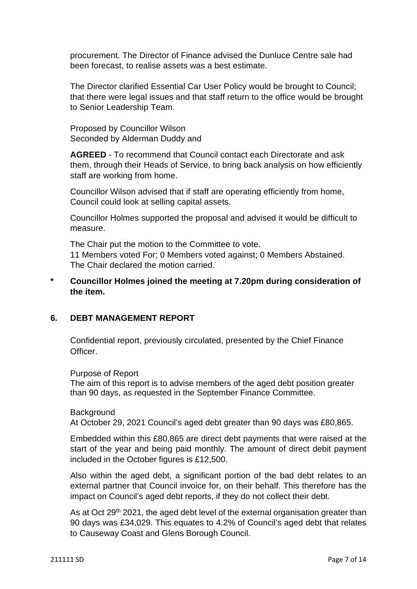procurement. The Director of Finance advised the Dunluce Centre sale had been forecast, to realise assets was a best estimate.

The Director clarified Essential Car User Policy would be brought to Council; that there were legal issues and that staff return to the office would be brought to Senior Leadership Team.

Proposed by Councillor Wilson Seconded by Alderman Duddy and

**AGREED** - To recommend that Council contact each Directorate and ask them, through their Heads of Service, to bring back analysis on how efficiently staff are working from home.

Councillor Wilson advised that if staff are operating efficiently from home, Council could look at selling capital assets.

Councillor Holmes supported the proposal and advised it would be difficult to measure.

The Chair put the motion to the Committee to vote. 11 Members voted For; 0 Members voted against; 0 Members Abstained. The Chair declared the motion carried.

**\* Councillor Holmes joined the meeting at 7.20pm during consideration of the item.** 

### **6. DEBT MANAGEMENT REPORT**

Confidential report, previously circulated, presented by the Chief Finance Officer.

Purpose of Report

The aim of this report is to advise members of the aged debt position greater than 90 days, as requested in the September Finance Committee.

#### **Background**

At October 29, 2021 Council's aged debt greater than 90 days was £80,865.

Embedded within this £80,865 are direct debt payments that were raised at the start of the year and being paid monthly. The amount of direct debit payment included in the October figures is £12,500.

Also within the aged debt, a significant portion of the bad debt relates to an external partner that Council invoice for, on their behalf. This therefore has the impact on Council's aged debt reports, if they do not collect their debt.

As at Oct 29<sup>th</sup> 2021, the aged debt level of the external organisation greater than 90 days was £34,029. This equates to 4.2% of Council's aged debt that relates to Causeway Coast and Glens Borough Council.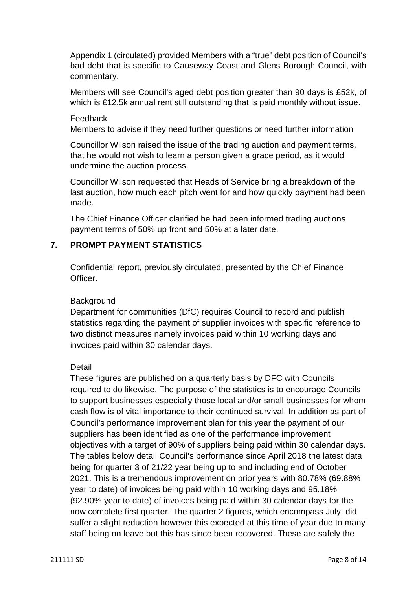Appendix 1 (circulated) provided Members with a "true" debt position of Council's bad debt that is specific to Causeway Coast and Glens Borough Council, with commentary.

Members will see Council's aged debt position greater than 90 days is £52k, of which is £12.5k annual rent still outstanding that is paid monthly without issue.

#### Feedback

Members to advise if they need further questions or need further information

Councillor Wilson raised the issue of the trading auction and payment terms, that he would not wish to learn a person given a grace period, as it would undermine the auction process.

Councillor Wilson requested that Heads of Service bring a breakdown of the last auction, how much each pitch went for and how quickly payment had been made.

The Chief Finance Officer clarified he had been informed trading auctions payment terms of 50% up front and 50% at a later date.

## **7. PROMPT PAYMENT STATISTICS**

Confidential report, previously circulated, presented by the Chief Finance Officer.

### **Background**

Department for communities (DfC) requires Council to record and publish statistics regarding the payment of supplier invoices with specific reference to two distinct measures namely invoices paid within 10 working days and invoices paid within 30 calendar days.

### Detail

These figures are published on a quarterly basis by DFC with Councils required to do likewise. The purpose of the statistics is to encourage Councils to support businesses especially those local and/or small businesses for whom cash flow is of vital importance to their continued survival. In addition as part of Council's performance improvement plan for this year the payment of our suppliers has been identified as one of the performance improvement objectives with a target of 90% of suppliers being paid within 30 calendar days. The tables below detail Council's performance since April 2018 the latest data being for quarter 3 of 21/22 year being up to and including end of October 2021. This is a tremendous improvement on prior years with 80.78% (69.88% year to date) of invoices being paid within 10 working days and 95.18% (92.90% year to date) of invoices being paid within 30 calendar days for the now complete first quarter. The quarter 2 figures, which encompass July, did suffer a slight reduction however this expected at this time of year due to many staff being on leave but this has since been recovered. These are safely the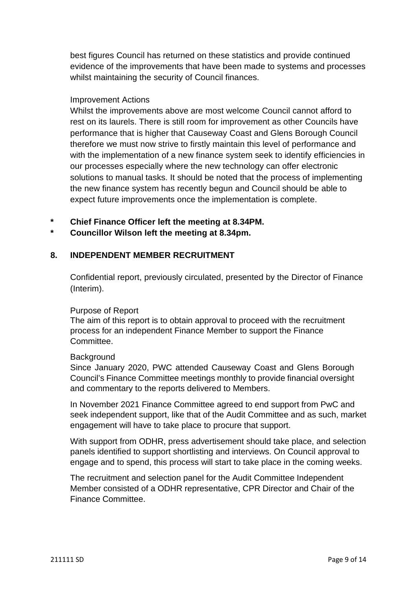best figures Council has returned on these statistics and provide continued evidence of the improvements that have been made to systems and processes whilst maintaining the security of Council finances.

### Improvement Actions

Whilst the improvements above are most welcome Council cannot afford to rest on its laurels. There is still room for improvement as other Councils have performance that is higher that Causeway Coast and Glens Borough Council therefore we must now strive to firstly maintain this level of performance and with the implementation of a new finance system seek to identify efficiencies in our processes especially where the new technology can offer electronic solutions to manual tasks. It should be noted that the process of implementing the new finance system has recently begun and Council should be able to expect future improvements once the implementation is complete.

- **\* Chief Finance Officer left the meeting at 8.34PM.**
- **\* Councillor Wilson left the meeting at 8.34pm.**

## **8. INDEPENDENT MEMBER RECRUITMENT**

Confidential report, previously circulated, presented by the Director of Finance (Interim).

### Purpose of Report

The aim of this report is to obtain approval to proceed with the recruitment process for an independent Finance Member to support the Finance Committee.

### **Background**

Since January 2020, PWC attended Causeway Coast and Glens Borough Council's Finance Committee meetings monthly to provide financial oversight and commentary to the reports delivered to Members.

In November 2021 Finance Committee agreed to end support from PwC and seek independent support, like that of the Audit Committee and as such, market engagement will have to take place to procure that support.

With support from ODHR, press advertisement should take place, and selection panels identified to support shortlisting and interviews. On Council approval to engage and to spend, this process will start to take place in the coming weeks.

The recruitment and selection panel for the Audit Committee Independent Member consisted of a ODHR representative, CPR Director and Chair of the Finance Committee.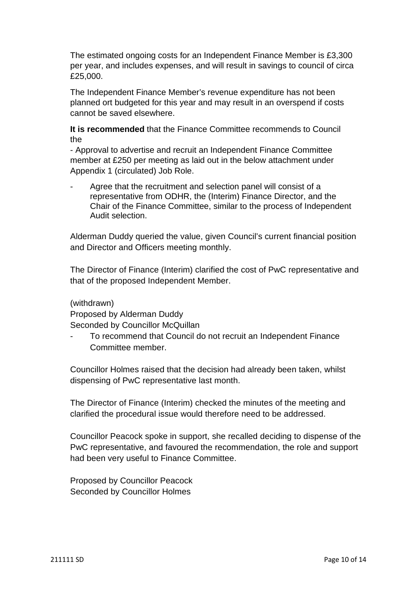The estimated ongoing costs for an Independent Finance Member is £3,300 per year, and includes expenses, and will result in savings to council of circa £25,000.

The Independent Finance Member's revenue expenditure has not been planned ort budgeted for this year and may result in an overspend if costs cannot be saved elsewhere.

**It is recommended** that the Finance Committee recommends to Council the

- Approval to advertise and recruit an Independent Finance Committee member at £250 per meeting as laid out in the below attachment under Appendix 1 (circulated) Job Role.

Agree that the recruitment and selection panel will consist of a representative from ODHR, the (Interim) Finance Director, and the Chair of the Finance Committee, similar to the process of Independent Audit selection.

Alderman Duddy queried the value, given Council's current financial position and Director and Officers meeting monthly.

The Director of Finance (Interim) clarified the cost of PwC representative and that of the proposed Independent Member.

(withdrawn)

Proposed by Alderman Duddy

Seconded by Councillor McQuillan

To recommend that Council do not recruit an Independent Finance Committee member.

Councillor Holmes raised that the decision had already been taken, whilst dispensing of PwC representative last month.

The Director of Finance (Interim) checked the minutes of the meeting and clarified the procedural issue would therefore need to be addressed.

Councillor Peacock spoke in support, she recalled deciding to dispense of the PwC representative, and favoured the recommendation, the role and support had been very useful to Finance Committee.

Proposed by Councillor Peacock Seconded by Councillor Holmes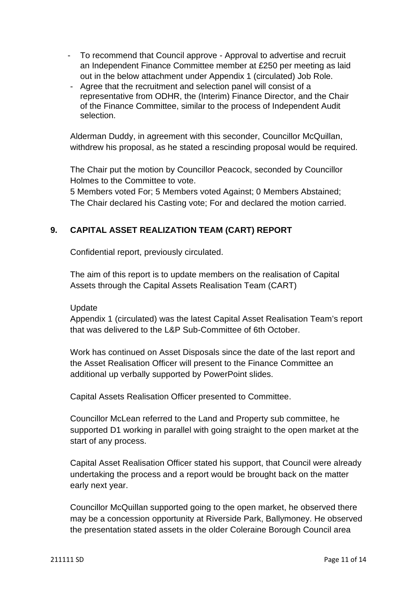- To recommend that Council approve Approval to advertise and recruit an Independent Finance Committee member at £250 per meeting as laid out in the below attachment under Appendix 1 (circulated) Job Role.
- Agree that the recruitment and selection panel will consist of a representative from ODHR, the (Interim) Finance Director, and the Chair of the Finance Committee, similar to the process of Independent Audit selection.

Alderman Duddy, in agreement with this seconder, Councillor McQuillan, withdrew his proposal, as he stated a rescinding proposal would be required.

The Chair put the motion by Councillor Peacock, seconded by Councillor Holmes to the Committee to vote.

5 Members voted For; 5 Members voted Against; 0 Members Abstained; The Chair declared his Casting vote; For and declared the motion carried.

# **9. CAPITAL ASSET REALIZATION TEAM (CART) REPORT**

Confidential report, previously circulated.

The aim of this report is to update members on the realisation of Capital Assets through the Capital Assets Realisation Team (CART)

### Update

Appendix 1 (circulated) was the latest Capital Asset Realisation Team's report that was delivered to the L&P Sub-Committee of 6th October.

Work has continued on Asset Disposals since the date of the last report and the Asset Realisation Officer will present to the Finance Committee an additional up verbally supported by PowerPoint slides.

Capital Assets Realisation Officer presented to Committee.

Councillor McLean referred to the Land and Property sub committee, he supported D1 working in parallel with going straight to the open market at the start of any process.

Capital Asset Realisation Officer stated his support, that Council were already undertaking the process and a report would be brought back on the matter early next year.

Councillor McQuillan supported going to the open market, he observed there may be a concession opportunity at Riverside Park, Ballymoney. He observed the presentation stated assets in the older Coleraine Borough Council area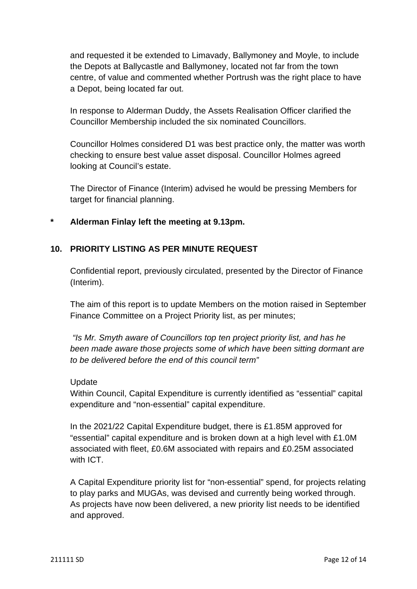and requested it be extended to Limavady, Ballymoney and Moyle, to include the Depots at Ballycastle and Ballymoney, located not far from the town centre, of value and commented whether Portrush was the right place to have a Depot, being located far out.

In response to Alderman Duddy, the Assets Realisation Officer clarified the Councillor Membership included the six nominated Councillors.

Councillor Holmes considered D1 was best practice only, the matter was worth checking to ensure best value asset disposal. Councillor Holmes agreed looking at Council's estate.

The Director of Finance (Interim) advised he would be pressing Members for target for financial planning.

## **\* Alderman Finlay left the meeting at 9.13pm.**

## **10. PRIORITY LISTING AS PER MINUTE REQUEST**

Confidential report, previously circulated, presented by the Director of Finance (Interim).

The aim of this report is to update Members on the motion raised in September Finance Committee on a Project Priority list, as per minutes;

 *"Is Mr. Smyth aware of Councillors top ten project priority list, and has he been made aware those projects some of which have been sitting dormant are to be delivered before the end of this council term"* 

### Update

Within Council, Capital Expenditure is currently identified as "essential" capital expenditure and "non-essential" capital expenditure.

In the 2021/22 Capital Expenditure budget, there is £1.85M approved for "essential" capital expenditure and is broken down at a high level with £1.0M associated with fleet, £0.6M associated with repairs and £0.25M associated with ICT

A Capital Expenditure priority list for "non-essential" spend, for projects relating to play parks and MUGAs, was devised and currently being worked through. As projects have now been delivered, a new priority list needs to be identified and approved.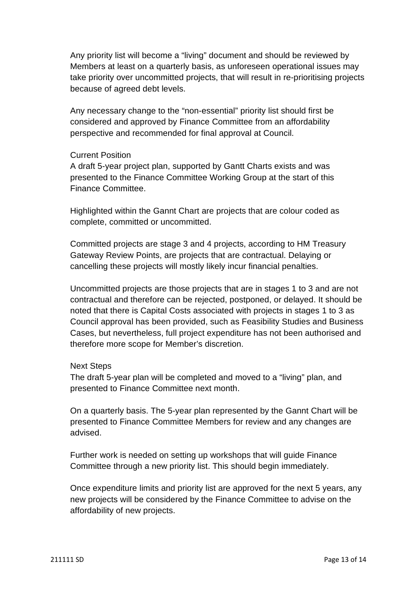Any priority list will become a "living" document and should be reviewed by Members at least on a quarterly basis, as unforeseen operational issues may take priority over uncommitted projects, that will result in re-prioritising projects because of agreed debt levels.

Any necessary change to the "non-essential" priority list should first be considered and approved by Finance Committee from an affordability perspective and recommended for final approval at Council.

#### Current Position

A draft 5-year project plan, supported by Gantt Charts exists and was presented to the Finance Committee Working Group at the start of this Finance Committee.

Highlighted within the Gannt Chart are projects that are colour coded as complete, committed or uncommitted.

Committed projects are stage 3 and 4 projects, according to HM Treasury Gateway Review Points, are projects that are contractual. Delaying or cancelling these projects will mostly likely incur financial penalties.

Uncommitted projects are those projects that are in stages 1 to 3 and are not contractual and therefore can be rejected, postponed, or delayed. It should be noted that there is Capital Costs associated with projects in stages 1 to 3 as Council approval has been provided, such as Feasibility Studies and Business Cases, but nevertheless, full project expenditure has not been authorised and therefore more scope for Member's discretion.

### Next Steps

The draft 5-year plan will be completed and moved to a "living" plan, and presented to Finance Committee next month.

On a quarterly basis. The 5-year plan represented by the Gannt Chart will be presented to Finance Committee Members for review and any changes are advised.

Further work is needed on setting up workshops that will guide Finance Committee through a new priority list. This should begin immediately.

Once expenditure limits and priority list are approved for the next 5 years, any new projects will be considered by the Finance Committee to advise on the affordability of new projects.